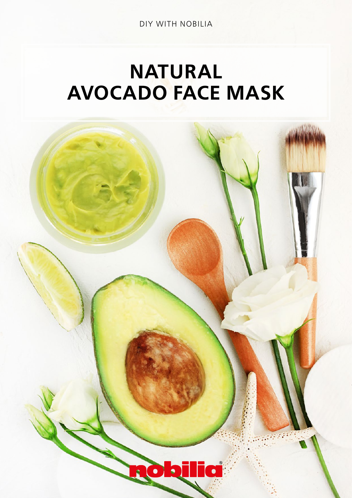DIY WITH NOBILIA

## NATURAL AVOCADO FACE MASK